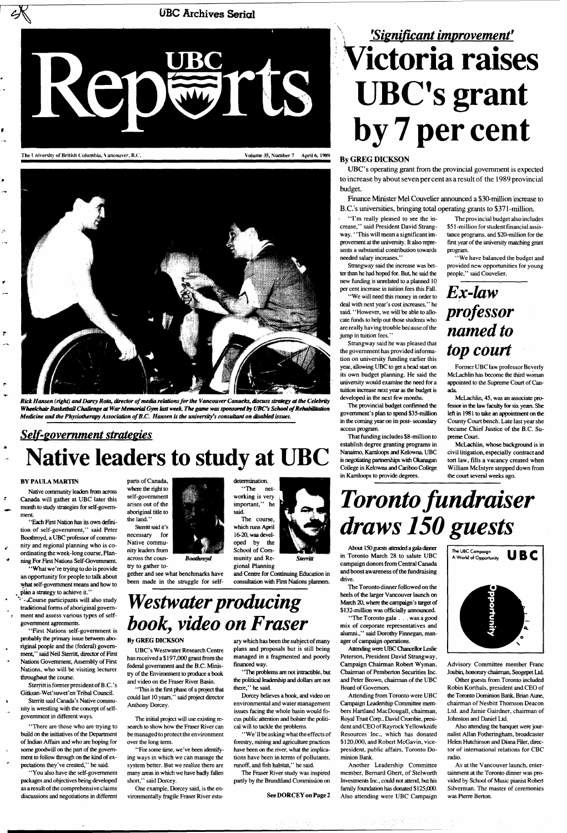**UBC Archives Serial** 



The University of British Columbia, Vancouver, B.C. Volume 35, Number 7 April 6, 1989



*Rick Hansen (right) and Dairy Rota, director of media relations for the Vancouver Canucks, discuss strategy at die Celebrity Wheelchair Basketball Challenge at War Memorial Gym last week. The game was sponsored by UBC's School of Rehabilitation Medicine and die Physiotherapy Association of B.C. Hansen is the university's consultant on disabled issues.* 

"What we're trying to do is provide an opportunity for people to talk about what self-government means and how to plan a strategy to achieve it."

### *Self-government strategies*  **Native leaders to study at UBC**

#### **BY PAULA MARTIN**

\* - Course participants will also study traditional forms of aboriginal government and assess various types of selfgovernment agreements.

Native community leaders from across Canada will gather at UBC later this month to study strategies for self-government.

' 'Each First Nation has its own definition of self-government," said Peter Boothroyd, a UBC professor of community and regional planning who is coordinating the week-long course, Planning For First Nations Self-Govemment

parts of Canada, where the right to self-government arises out of the aboriginal title to the land.'

"First Nations self-government is probably the primary issue between aboriginal people and the (federal) government," said Neil Sterritt, director of First Nations Government, Assembly of First Nations, who will be visiting lecturer throughout the course.

Sterritt is former president of B.C.'s Gitksan-Wet'suwet'en Tribal Council. Sterritt said Canada's Native community is wrestling with the concept of selfgovernment in different ways.

' 'There are those who are trying to build on the initiatives of the Department of Indian Affairs and who are hoping for some goodwill on the part of the government to follow through on the kind of expectations they've created," he said.

' 'You also have the self-government packages and objectives being developed as a result of the comprehensive claims discussions and negotiations in different

Sterritt said it's necessary for Native community leaders from across the coun-

try to gather together and see what benchmarks have been made in the struggle for self-

*Boothroyd* 

determination. "The networking is very important," he said. The course,

which runs April 16-20, was developed by the School of Community and Re-

gional Planning

and Centre for Continuing Education in consultation with First Nations planners.



*Westwater producing book, video on Fraser* 

#### **By GREG DICKSON**

UBC's Westwater Research Centre has received a \$ 197,000 grant from the federal government and the B.C. Ministry of the Environment to produce a book and video on the Fraser River Basin.

' 'This is the first phase of a project that could last 10 years,'' said project director Anthony Dorcey.

The initial project will use existing research to show how the Fraser River can be managed to protect the environment over the long term.

"For some time, we've been identifying ways in which we can manage the system better. But we realize there are many areas in which we have badly fallen short," said Dorcey.

One example, Dorcey said, is the environmentally fragile Fraser River estu-

ary which has been the subject of many plans and proposals but is still being managed in a fragmented and poorly financed way.

"The Toronto gala . . . was a good mix of corporate representatives and alumni.," said Dorothy Finnegan, man-

' 'The problems are not intractible, but the political leadership and dollars are not there," he said.

Dorcey believes a book, and video on environmental and water management issues facing the whole basin would focus public attention and bolster the political will to tackle the problems.

" We' 11 be asking what the effects of forestry, mining and agriculture practices have been on the river, what the implications have been in terms of pollutants, runoff, and fish habitat," he said.

The Fraser River study was inspired partly by the Brundtland Commission on

#### **See DORCEY on** Page 2

# **\** *'Significant improvement<sup>9</sup>* **Victoria raises**  UBC's grant **by 7 per cent**

### By GREG DICKSON

UBC's operating grant from the provincial government is expected to increase by about seven per cent as a result of the 1989 provincial budget.

Finance Minister Mel Couvelier announced a \$30-million increase to B.C.'s universities, bringing total operating grants to \$371-million.

"I'm really pleased to see the in- The provincial budget also includes provement at the university. It also represents a substantial contribution towards needed salary increases."

Strangway said the increase was better than he had hoped for. But, he said the new funding is unrelated to a planned 10 per cent increase in tuition fees this Fall.

' 'We will need this money in order to deal with next year's cost increases," he said. "However, we will be able to allocate funds to help out those students who are really having trouble because of the jump in tuition fees."

crease,'' said President David Strang- \$51 -million for student financial assisway.' "This will mean a significant im- tance programs, and \$20-million for the first year of the university matching grant program.

Strangway said he was pleased that the government has provided information on university funding earlier this year, allowing UBC to get a head start on its own budget planning. He said the university would examine the need for a tuition increase next year as the budget is developed in the next few months.

The provincial budget confirmed the government's plan to spend \$35-million in the coming year on its post- secondary access program.

That funding includes \$8-million to establish degree granting programs in Nanaimo, Kamloops and Kelowna. UBC is negotiating partnerships with Okanagan College in Kelowna and Cariboo College in Kamloops to provide degrees.

"We have balanced the budget and provided new opportunities for young people," said Couvelier.

### *Ex-law professor named to top court*

Former UBC law professor Beverly McLachlin has become the third woman appointed to the Supreme Court of Canada.

McLachlin, 45, was an associate professor in the law faculty for six years. She left in 1981 to take an appointment on the County Court bench. Late last year she became Chief Justice of the B.C. Supreme Court.

McLachlin, whose background is in civil litigation, especially contract and tort law, fills a vacancy created when William Mclntyre stepped down from the court several weeks ago.

# *Toronto fundraiser draws 150 guests*

About 150 guests attended a gala dinner in Toronto March 28 to salute UBC campaign donors from Central Canada and boost awareness of the fundraising drive.

The Toronto dinner followed on the heels of the larger Vancouver launch on March 20, where the campaign's target of \$132-million was officially announced.

ager of campaign operations.

Attending were UBC Chancellor Leslie Peterson, President David Strangway, Campaign Chairman Robert Wyman, Chairman of Pemberton Securities Inc. and Peter Brown, chairman of the UBC Board of Governors.

Attending from Toronto were UBC Campaign Leadership Committee members Hartland MacDougall, chairman, Royal Trust Corp., David Crombie, president and CEO of Rayrock Yellowknife Resources Inc., which has donated \$120,000, and Robert McGavin, vicepresident, public affairs, Toronto Dominion Bank.

Another Leadership Committee member, Bernard Ghert, of Stelworth Investments Inc., could not attend, but his family foundation has donated \$125,000. Also attending were UBC Campaign



Advisory Committee member Franc Joubin, honorary chairman, Seogepet Ltd.

Other guests from Toronto included Robin Korthals, president and CEO of the Toronto Dominion Bank, Brian Aune, chairman of Nesbitt Thomson Deacon Ltd. and Jamie Gairdner, chairman of Johnston and Daniel Ltd.

Also attending the banquet were journalist Allan Fotheringham, broadcaster Helen Hutchinson and Diana Filer, director of international relations for CBC radio.

As at the Vancouver launch, entertainment at the Toronto dinner was provided by School of Music pianist Robert Silverman. The master of ceremonies was Pierre Berton.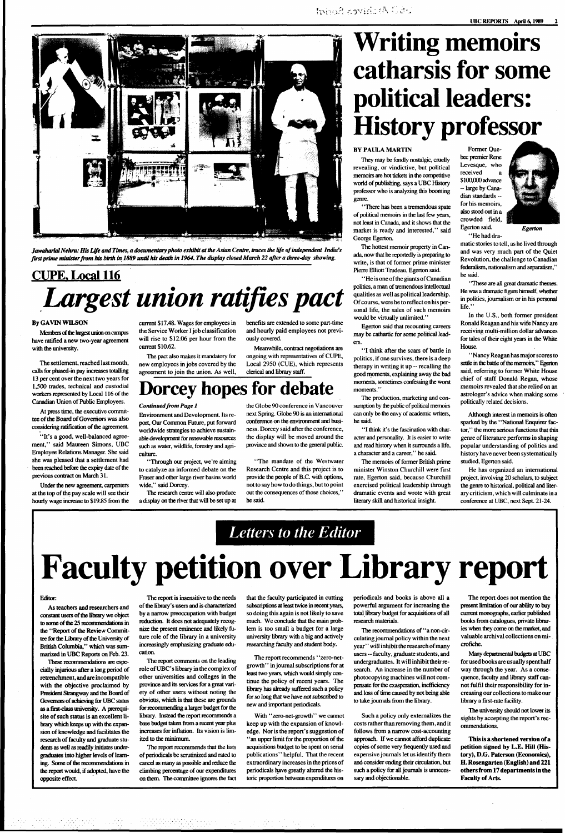

# **Writing memoirs catharsis for some political leaders: History professor**

*Jawaharlal Nehru: His Life and Times, a documentary photo exhibit at die Asian Centre, traces the life of independent India's first prime minister from his birth in 1889 until his death in 1964. The display closed March 22 after a three-day showing.* 

## **PIPE. Local 116**  *Largest union ratifies pact*

### **By GAVIN WILSON**

Members of Ihe largest union on campus have ratified a new two-year agreement with the university.

"It's a good, well-balanced agreement," said Maureen Simons, UBC Employee Relations Manager. She said she was pleased that a settlement had been reached before the expiry date of the previous contract on March 31.

Under the new agreement, carpenters at the top of the pay scale will see their hourly wage increase to \$19.85 from the

The settlement, reached last month, calls for phased-in pay increases totalling 13 per cent over the next two years for 1,500 trades, technical and custodial workers represented by Local 116 of the Canadian Union of Public Employees.

At press time, the executive committee of the Board of Governors was also considering ratification of the agreement

> The research centre will also produce a display on the river that will be set up at

> current \$17.48. Wages for employees in the Service Worker I job classification will rise to \$12.06 per hour from the current \$10.62.

> The pact also makes it mandatory for new employees in jobs covered by the agreement to join the union. As well,

benefits are extended to some part-time

and hourly paid employees not previously covered. Meanwhile, contract negotiations are

ongoing with representatives of CUPE, Local 2950 (CUE), which represents clerical and library staff.

"He is one of the giants of Canadian politics, a man of tremendous intellectual qualities as well as political leadership. Of course, were he to reflect on his personal life, the sales of such memoirs would be virtually unlimited."

### **Dorcey hopes for debate**

#### *Continued from Page 1*

Environment and Development. Its report, Our Common Future, put forward worldwide strategies to achieve sustainable development for renewable resources such as water, wildlife, forestry and agriculture.

"I think it's the fascination with character and personality. It is easier to write and read history when it surrounds a life, a character and a career," he said.

"Through our project, we're aiming to catalyze an informed debate on the Fraser and other large river basins world wide," said Dorcey.

the Globe 90 conference in Vancouver next Spring. Globe 90 is an international conference on the environment and business. Dorcey said after the conference, the display will be moved around the province and shown to the general public.

"These are all great dramatic themes. He was a dramatic figure himself, whether in politics, journalism or in his personal life."

"The mandate of the Westwater Research Centre and this project is to provide the people of B.C. with options, not to say how to do things, but to point out the consequences of those choices,'' he said.

#### BY PAULA MARTIN

They may be fondly nostalgic, cruelly revealing, or vindictive, but political memoirs are hot tickets in the competitive world of publishing, says a UBC History professor who is analyzing this booming genre.

As teachers and researchers and constant users of the library we object to some of the 25 recommendations in the "Report of the Review Committee for the Library of the University of

' "There has been a tremendous spate of political memoirs in the last few years, not least in Canada, and it shows that the market is ready and interested," said George Egerton.

The hottest memoir property in Canada, now that he reportedly is preparing to write, is that of former prime minister Pierre Elliott Trudeau, Egerton said.

Egerton said that recounting careers may be cathartic for some political leaders.

"I think after the scars of battle in politics, if one survives, there is a deep therapy in writing it up — recalling the good moments, explaining away the bad moments, sometimes confessing the worst moments."

The production, marketing and consumption by the public of political memoirs can only be the envy of academic writers, he said.

The report recommends "zero-netgrowth" in journal subscriptions for at least two years, which would simply continue the policy of recent years. The library has already suffered such a policy for so long that we have not subscribed to new and important periodicals.

The memoirs of former British prime minister Winston Churchill were first rate, Egerton said, because Churchill exercised political leadership through dramatic events and wrote with great literary skill and historical insight.



Former Quebec premier Rene Levesque, who received \$100,000 advance — large by Canadian standards for his memoirs, also stood out in a crowded field, Egerton said.

"He had dra-

matic stories to tell, as he lived through and was very much part of the Quiet Revolution, the challenge to Canadian federalism, nationalism and separatism," he said.

In the U.S., both former president Ronald Reagan and his wife Nancy are receiving multi-million dollar advances for tales of their eight years in the White House.

**This is a shortened version of a petition signed by L.E. Hill (History), D.G. Paterson (Economics), H. Rosengarten (English) and 221 others from 17 departments in the Faculty of Arts.** 

"Nancy Reagan has major scores to settle in the battle of the memoirs,'' Egerton said, referring to former White House chief of staff Donald Regan, whose memoirs revealed that she relied on an astrologer's advice when making some politically related decisions.

Although interest in memoirs is often sparked by the "National Enquirer factor,' ' the more serious functions that this genre of literature performs in shaping popular understanding of politics and history have never been systematically studied, Egerton said.

He has organized an international project, involving 20 scholars, to subject the genre to historical, political and literary criticism, which will culminate in a conference at UBC, next Sept. 21-24.

### *Letters to the Editor*

# **Faculty petition over Library report**

#### Editor

British Columbia," which was summarized in UBC Reports on Feb. 23.

These recommendations are especially injurious after a long period of retrenchment, and are incompatible with the objective proclaimed by President Strangway and the Board of Governors of achieving for UBC status as a first-class university. A prerequisite of such status is an excellent library which keeps up with the expansion of knowledge and facilitates the research of faculty and graduate students as well as readily initiates undergraduates into higher levels of learning. Some of the recommendations in the report would, if adopted, have the opposite effect

The report is insensitive to the needs of the library's users and is characterized by a narrow preoccupation with budget reduction. It does not adequately recognize the present eminence and likely future role of the library in a university

increasingly emphasizing graduate education.

The report comments on the leading role of UBC' s library in the complex of other universities and colleges in the province and its services for a great variety of other users without noting the obvious, which is that these are grounds for recommending a larger budget for the library. Instead the report recommends a base budget taken from a recent year plus increases for inflation. Its vision is limited to the minimum.

The report recommends that the lists of periodicals be scrutinized and rated to cancel as many as possible and reduce the climbing percentage of our expenditures on them. The committee ignores the fact that the faculty participated in cutting subscriptions at least twice in recent years, so doing this again is not likely to save much. We conclude that the main problem is too small a budget for a large university library with a big and actively

researching faculty and student body.

With "zero-net-growth" we cannot keep up with the expansion of knowledge. Nor is the report's suggestion of ' 'an upper limit for the proportion of the acquisitions budget to be spent on serial publications'' helpful. That the recent extraordinary increases in the prices of periodicals have greatly altered the historic proportion between expenditures on

periodicals and books is above all a powerful argument for increasing the total library budget for acquisitions of all research materials.

The recommendations of "a non-circulating journal policy within the next year'' will inhibit the research of many users — faculty, graduate students, and undergraduates. It will inhibit their research. An increase in the number of photocopying machines will not compensate for the exasperation, inefficiency and loss of time caused by not being able to take journals from the library.

Such a policy only externalizes the costs rather than removing them, and it follows from a narrow cost-accounting approach. If we cannot afford duplicate copies of some very frequently used and expensive journals let us identify them and consider ending their circulation, but such a policy for all journals is unnecessary and objectionable.

The report does not mention the present limitation of our ability to buy current monographs, earlier published books from catalogues, private libraries when they come on the market, and valuable archival collections on mi-

crofiche.

Many departmental budgets at UBC for used books are usually spent half way through the year. As a consequence, faculty and library staff cannot fulfil their responsibility for increasing our collections to make our library a first-rate facility.

The university should not lower its sights by accepting the report's recommendations.